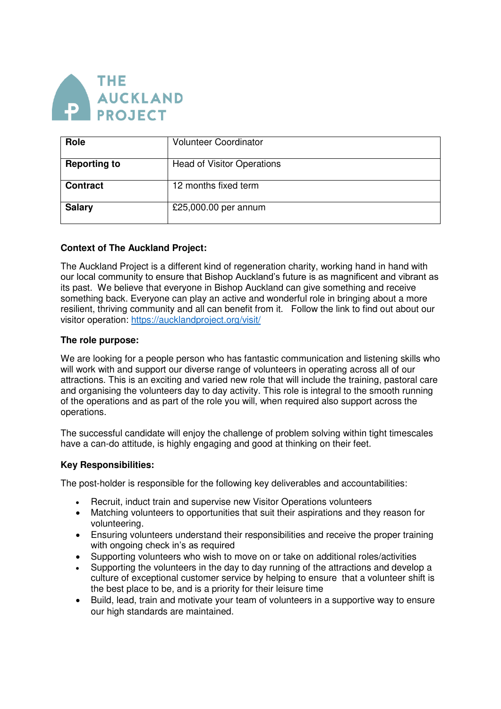

| Role                | <b>Volunteer Coordinator</b>      |
|---------------------|-----------------------------------|
| <b>Reporting to</b> | <b>Head of Visitor Operations</b> |
| <b>Contract</b>     | 12 months fixed term              |
| <b>Salary</b>       | £25,000.00 per annum              |

### **Context of The Auckland Project:**

The Auckland Project is a different kind of regeneration charity, working hand in hand with our local community to ensure that Bishop Auckland's future is as magnificent and vibrant as its past. We believe that everyone in Bishop Auckland can give something and receive something back. Everyone can play an active and wonderful role in bringing about a more resilient, thriving community and all can benefit from it. Follow the link to find out about our visitor operation:<https://aucklandproject.org/visit/>

### **The role purpose:**

We are looking for a people person who has fantastic communication and listening skills who will work with and support our diverse range of volunteers in operating across all of our attractions. This is an exciting and varied new role that will include the training, pastoral care and organising the volunteers day to day activity. This role is integral to the smooth running of the operations and as part of the role you will, when required also support across the operations.

The successful candidate will enjoy the challenge of problem solving within tight timescales have a can-do attitude, is highly engaging and good at thinking on their feet.

### **Key Responsibilities:**

The post-holder is responsible for the following key deliverables and accountabilities:

- Recruit, induct train and supervise new Visitor Operations volunteers
- Matching volunteers to opportunities that suit their aspirations and they reason for volunteering.
- Ensuring volunteers understand their responsibilities and receive the proper training with ongoing check in's as required
- Supporting volunteers who wish to move on or take on additional roles/activities
- Supporting the volunteers in the day to day running of the attractions and develop a culture of exceptional customer service by helping to ensure that a volunteer shift is the best place to be, and is a priority for their leisure time
- Build, lead, train and motivate your team of volunteers in a supportive way to ensure our high standards are maintained.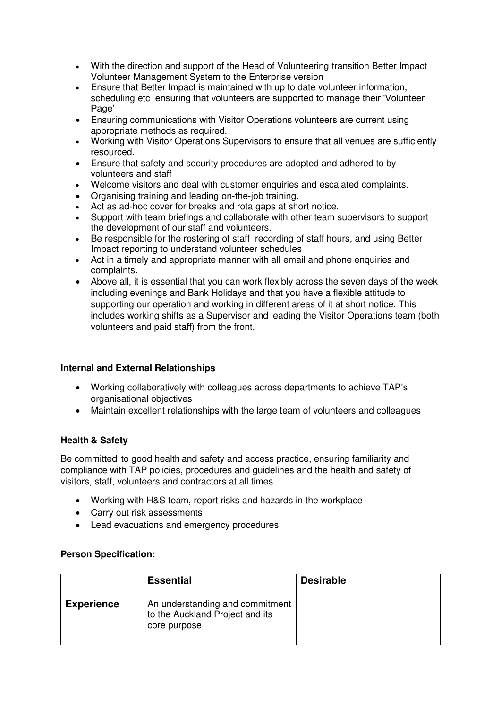- With the direction and support of the Head of Volunteering transition Better Impact Volunteer Management System to the Enterprise version
- Ensure that Better Impact is maintained with up to date volunteer information, scheduling etc ensuring that volunteers are supported to manage their 'Volunteer Page'
- Ensuring communications with Visitor Operations volunteers are current using appropriate methods as required.
- Working with Visitor Operations Supervisors to ensure that all venues are sufficiently resourced.
- Ensure that safety and security procedures are adopted and adhered to by volunteers and staff
- Welcome visitors and deal with customer enquiries and escalated complaints.
- Organising training and leading on-the-job training.
- Act as ad-hoc cover for breaks and rota gaps at short notice.
- Support with team briefings and collaborate with other team supervisors to support the development of our staff and volunteers.
- Be responsible for the rostering of staff recording of staff hours, and using Better Impact reporting to understand volunteer schedules
- Act in a timely and appropriate manner with all email and phone enquiries and complaints.
- Above all, it is essential that you can work flexibly across the seven days of the week including evenings and Bank Holidays and that you have a flexible attitude to supporting our operation and working in different areas of it at short notice. This includes working shifts as a Supervisor and leading the Visitor Operations team (both volunteers and paid staff) from the front.

### **Internal and External Relationships**

- Working collaboratively with colleagues across departments to achieve TAP's organisational objectives
- Maintain excellent relationships with the large team of volunteers and colleagues

## **Health & Safety**

Be committed to good health and safety and access practice, ensuring familiarity and compliance with TAP policies, procedures and guidelines and the health and safety of visitors, staff, volunteers and contractors at all times.

- Working with H&S team, report risks and hazards in the workplace
- Carry out risk assessments
- Lead evacuations and emergency procedures

### **Person Specification:**

|                   | <b>Essential</b>                                                                   | <b>Desirable</b> |
|-------------------|------------------------------------------------------------------------------------|------------------|
| <b>Experience</b> | An understanding and commitment<br>to the Auckland Project and its<br>core purpose |                  |